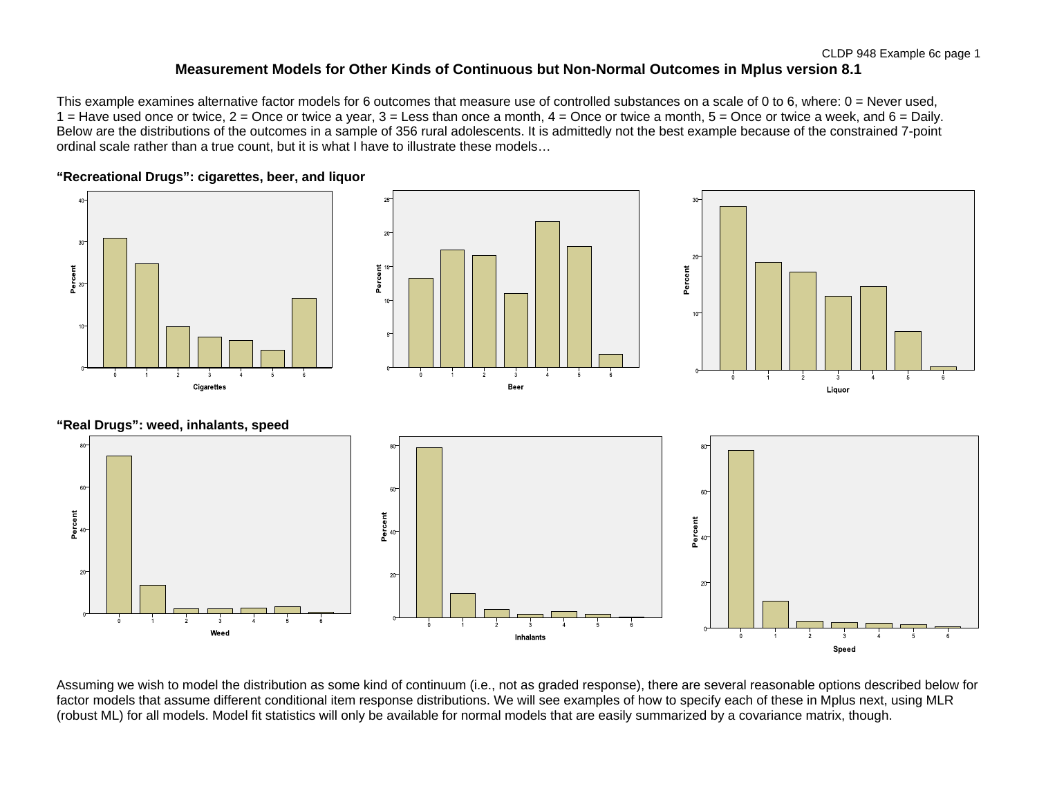This example examines alternative factor models for 6 outcomes that measure use of controlled substances on a scale of 0 to 6, where: 0 = Never used,  $1$  = Have used once or twice,  $2$  = Once or twice a year,  $3$  = Less than once a month,  $4$  = Once or twice a month,  $5$  = Once or twice a week, and  $6$  = Daily. Below are the distributions of the outcomes in a sample of 356 rural adolescents. It is admittedly not the best example because of the constrained 7-point ordinal scale rather than a true count, but it is what I have to illustrate these models…



Assuming we wish to model the distribution as some kind of continuum (i.e., not as graded response), there are several reasonable options described below for factor models that assume different conditional item response distributions. We will see examples of how to specify each of these in Mplus next, using MLR (robust ML) for all models. Model fit statistics will only be available for normal models that are easily summarized by a covariance matrix, though.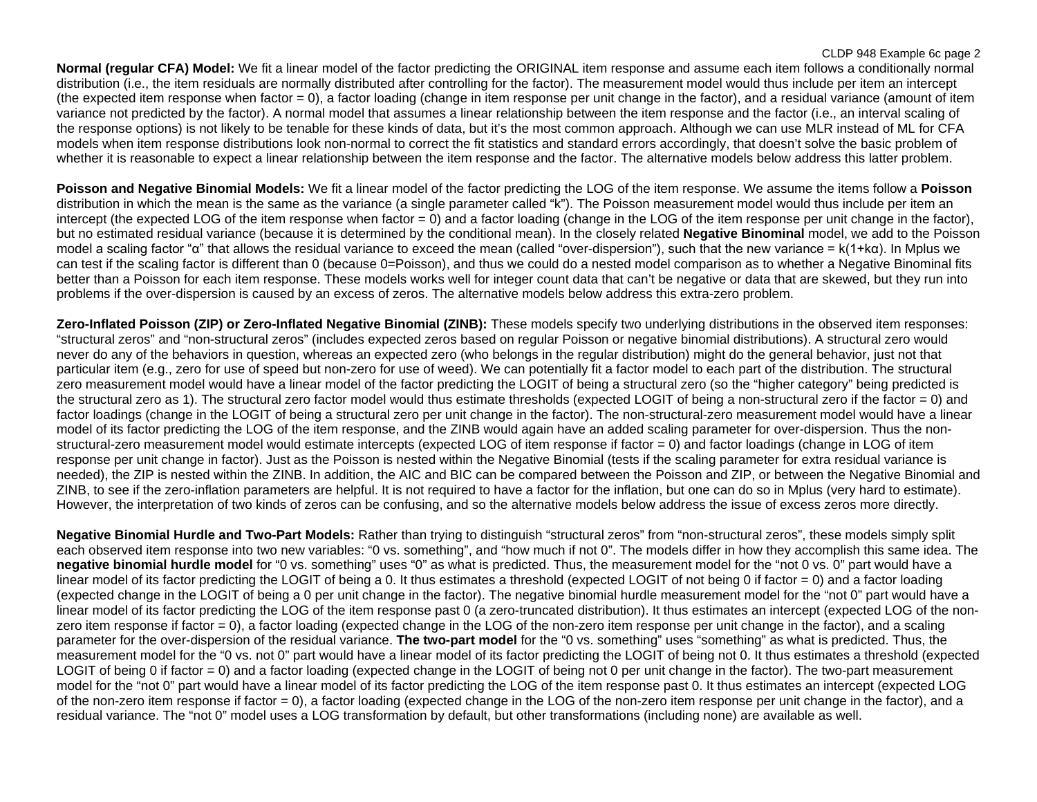CLDP 948 Example 6c page 2

**Normal (regular CFA) Model:** We fit a linear model of the factor predicting the ORIGINAL item response and assume each item follows a conditionally normal distribution (i.e., the item residuals are normally distributed after controlling for the factor). The measurement model would thus include per item an intercept (the expected item response when factor = 0), a factor loading (change in item response per unit change in the factor), and a residual variance (amount of item variance not predicted by the factor). A normal model that assumes a linear relationship between the item response and the factor (i.e., an interval scaling of the response options) is not likely to be tenable for these kinds of data, but it's the most common approach. Although we can use MLR instead of ML for CFA models when item response distributions look non-normal to correct the fit statistics and standard errors accordingly, that doesn't solve the basic problem of whether it is reasonable to expect a linear relationship between the item response and the factor. The alternative models below address this latter problem.

**Poisson and Negative Binomial Models:** We fit a linear model of the factor predicting the LOG of the item response. We assume the items follow a **Poisson** distribution in which the mean is the same as the variance (a single parameter called "k"). The Poisson measurement model would thus include per item an intercept (the expected LOG of the item response when factor = 0) and a factor loading (change in the LOG of the item response per unit change in the factor), but no estimated residual variance (because it is determined by the conditional mean). In the closely related **Negative Binominal** model, we add to the Poisson model a scaling factor "α" that allows the residual variance to exceed the mean (called "over-dispersion"), such that the new variance = k(1+kα). In Mplus we can test if the scaling factor is different than 0 (because 0=Poisson), and thus we could do a nested model comparison as to whether a Negative Binominal fits better than a Poisson for each item response. These models works well for integer count data that can't be negative or data that are skewed, but they run into problems if the over-dispersion is caused by an excess of zeros. The alternative models below address this extra-zero problem.

**Zero-Inflated Poisson (ZIP) or Zero-Inflated Negative Binomial (ZINB):** These models specify two underlying distributions in the observed item responses: "structural zeros" and "non-structural zeros" (includes expected zeros based on regular Poisson or negative binomial distributions). A structural zero would never do any of the behaviors in question, whereas an expected zero (who belongs in the regular distribution) might do the general behavior, just not that particular item (e.g., zero for use of speed but non-zero for use of weed). We can potentially fit a factor model to each part of the distribution. The structural zero measurement model would have a linear model of the factor predicting the LOGIT of being a structural zero (so the "higher category" being predicted is the structural zero as 1). The structural zero factor model would thus estimate thresholds (expected LOGIT of being a non-structural zero if the factor = 0) and factor loadings (change in the LOGIT of being a structural zero per unit change in the factor). The non-structural-zero measurement model would have a linear model of its factor predicting the LOG of the item response, and the ZINB would again have an added scaling parameter for over-dispersion. Thus the nonstructural-zero measurement model would estimate intercepts (expected LOG of item response if factor = 0) and factor loadings (change in LOG of item response per unit change in factor). Just as the Poisson is nested within the Negative Binomial (tests if the scaling parameter for extra residual variance is needed), the ZIP is nested within the ZINB. In addition, the AIC and BIC can be compared between the Poisson and ZIP, or between the Negative Binomial and ZINB, to see if the zero-inflation parameters are helpful. It is not required to have a factor for the inflation, but one can do so in Mplus (very hard to estimate). However, the interpretation of two kinds of zeros can be confusing, and so the alternative models below address the issue of excess zeros more directly.

**Negative Binomial Hurdle and Two-Part Models:** Rather than trying to distinguish "structural zeros" from "non-structural zeros", these models simply split each observed item response into two new variables: "0 vs. something", and "how much if not 0". The models differ in how they accomplish this same idea. The **negative binomial hurdle model** for "0 vs. something" uses "0" as what is predicted. Thus, the measurement model for the "not 0 vs. 0" part would have a linear model of its factor predicting the LOGIT of being a 0. It thus estimates a threshold (expected LOGIT of not being 0 if factor = 0) and a factor loading (expected change in the LOGIT of being a 0 per unit change in the factor). The negative binomial hurdle measurement model for the "not 0" part would have a linear model of its factor predicting the LOG of the item response past 0 (a zero-truncated distribution). It thus estimates an intercept (expected LOG of the nonzero item response if factor = 0), a factor loading (expected change in the LOG of the non-zero item response per unit change in the factor), and a scaling parameter for the over-dispersion of the residual variance. **The two-part model** for the "0 vs. something" uses "something" as what is predicted. Thus, the measurement model for the "0 vs. not 0" part would have a linear model of its factor predicting the LOGIT of being not 0. It thus estimates a threshold (expected LOGIT of being 0 if factor = 0) and a factor loading (expected change in the LOGIT of being not 0 per unit change in the factor). The two-part measurement model for the "not 0" part would have a linear model of its factor predicting the LOG of the item response past 0. It thus estimates an intercept (expected LOG of the non-zero item response if factor = 0), a factor loading (expected change in the LOG of the non-zero item response per unit change in the factor), and a residual variance. The "not 0" model uses a LOG transformation by default, but other transformations (including none) are available as well.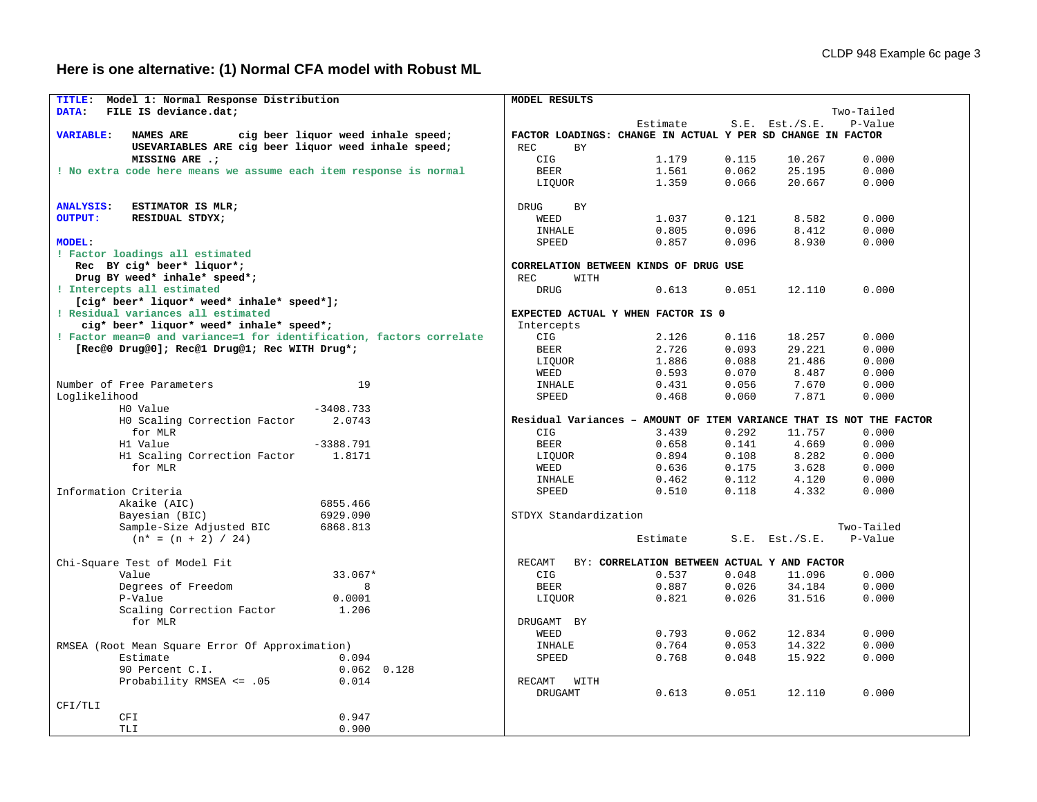**Here is one alternative: (1) Normal CFA model with Robust ML**

| TITLE: Model 1: Normal Response Distribution                               | MODEL RESULTS                                                       |                                                             |       |                     |            |
|----------------------------------------------------------------------------|---------------------------------------------------------------------|-------------------------------------------------------------|-------|---------------------|------------|
| DATA:<br>FILE IS deviance.dat;                                             |                                                                     |                                                             |       |                     | Two-Tailed |
|                                                                            |                                                                     | Estimate                                                    |       | $S.E.$ Est./ $S.E.$ | P-Value    |
| <b>VARIABLE:</b><br><b>NAMES ARE</b><br>cig beer liquor weed inhale speed; |                                                                     | FACTOR LOADINGS: CHANGE IN ACTUAL Y PER SD CHANGE IN FACTOR |       |                     |            |
| USEVARIABLES ARE cig beer liquor weed inhale speed;                        | <b>REC</b><br>ВY                                                    |                                                             |       |                     |            |
| MISSING ARE .;                                                             | CIG                                                                 | 1.179                                                       | 0.115 | 10.267              | 0.000      |
| ! No extra code here means we assume each item response is normal          | <b>BEER</b>                                                         | 1.561                                                       | 0.062 | 25.195              | 0.000      |
|                                                                            | LIQUOR                                                              | 1.359                                                       | 0.066 | 20.667              | 0.000      |
|                                                                            |                                                                     |                                                             |       |                     |            |
| <b>ANALYSIS:</b><br>ESTIMATOR IS MLR;                                      | <b>DRUG</b><br><b>BY</b>                                            |                                                             |       |                     |            |
| <b>OUTPUT:</b><br>RESIDUAL STDYX;                                          | WEED                                                                | 1.037                                                       | 0.121 | 8.582               | 0.000      |
|                                                                            | <b>INHALE</b>                                                       | 0.805                                                       | 0.096 | 8.412               | 0.000      |
| <b>MODEL:</b>                                                              | SPEED                                                               | 0.857                                                       | 0.096 | 8.930               | 0.000      |
| ! Factor loadings all estimated                                            |                                                                     |                                                             |       |                     |            |
| Rec BY cig* beer* liquor*;                                                 |                                                                     | CORRELATION BETWEEN KINDS OF DRUG USE                       |       |                     |            |
| Drug BY weed* inhale* speed*;                                              | <b>REC</b><br>WITH                                                  |                                                             |       |                     |            |
| ! Intercepts all estimated                                                 | <b>DRUG</b>                                                         | 0.613                                                       | 0.051 | 12,110              | 0.000      |
| [cig* beer* liquor* weed* inhale* speed*];                                 |                                                                     |                                                             |       |                     |            |
| ! Residual variances all estimated                                         |                                                                     | EXPECTED ACTUAL Y WHEN FACTOR IS 0                          |       |                     |            |
| cig* beer* liquor* weed* inhale* speed*;                                   | Intercepts                                                          |                                                             |       |                     |            |
| ! Factor mean=0 and variance=1 for identification, factors correlate       | CIG                                                                 | 2.126                                                       | 0.116 | 18.257              | 0.000      |
| [Rec@0 Drug@0]; Rec@1 Drug@1; Rec WITH Drug*;                              | <b>BEER</b>                                                         | 2.726                                                       | 0.093 | 29.221              | 0.000      |
|                                                                            | LIOUOR                                                              | 1.886                                                       | 0.088 | 21.486              | 0.000      |
|                                                                            | WEED                                                                | 0.593                                                       | 0.070 | 8.487               | 0.000      |
| 19                                                                         |                                                                     | 0.431                                                       | 0.056 | 7.670               |            |
| Number of Free Parameters                                                  | INHALE                                                              | 0.468                                                       |       |                     | 0.000      |
| Loglikelihood                                                              | SPEED                                                               |                                                             | 0.060 | 7.871               | 0.000      |
| H0 Value<br>$-3408.733$                                                    |                                                                     |                                                             |       |                     |            |
| HO Scaling Correction Factor<br>2.0743                                     | Residual Variances - AMOUNT OF ITEM VARIANCE THAT IS NOT THE FACTOR |                                                             |       |                     |            |
| for MLR                                                                    | <b>CIG</b>                                                          | 3.439                                                       | 0.292 | 11.757              | 0.000      |
| H1 Value<br>$-3388.791$                                                    | <b>BEER</b>                                                         | 0.658                                                       | 0.141 | 4.669               | 0.000      |
| H1 Scaling Correction Factor<br>1.8171                                     | LIQUOR                                                              | 0.894                                                       | 0.108 | 8.282               | 0.000      |
| for MLR                                                                    | WEED                                                                | 0.636                                                       | 0.175 | 3.628               | 0.000      |
|                                                                            | INHALE                                                              | 0.462                                                       | 0.112 | 4.120               | 0.000      |
| Information Criteria                                                       | SPEED                                                               | 0.510                                                       | 0.118 | 4.332               | 0.000      |
| Akaike (AIC)<br>6855.466                                                   |                                                                     |                                                             |       |                     |            |
| 6929.090<br>Bayesian (BIC)                                                 | STDYX Standardization                                               |                                                             |       |                     |            |
| Sample-Size Adjusted BIC<br>6868.813                                       |                                                                     |                                                             |       |                     | Two-Tailed |
| $(n* = (n + 2) / 24)$                                                      |                                                                     | Estimate                                                    |       | $S.E.$ Est./ $S.E.$ | P-Value    |
|                                                                            |                                                                     |                                                             |       |                     |            |
| Chi-Square Test of Model Fit                                               | RECAMT                                                              | BY: CORRELATION BETWEEN ACTUAL Y AND FACTOR                 |       |                     |            |
| Value<br>33.067*                                                           | CIG                                                                 | 0.537                                                       | 0.048 | 11.096              | 0.000      |
| Degrees of Freedom<br>8                                                    | <b>BEER</b>                                                         | 0.887                                                       | 0.026 | 34.184              | 0.000      |
| P-Value<br>0.0001                                                          | LIQUOR                                                              | 0.821                                                       | 0.026 | 31.516              | 0.000      |
| Scaling Correction Factor<br>1.206                                         |                                                                     |                                                             |       |                     |            |
| for MLR                                                                    | DRUGAMT BY                                                          |                                                             |       |                     |            |
|                                                                            | WEED                                                                | 0.793                                                       | 0.062 | 12.834              | 0.000      |
| RMSEA (Root Mean Square Error Of Approximation)                            | INHALE                                                              | 0.764                                                       | 0.053 | 14.322              | 0.000      |
| Estimate<br>0.094                                                          | SPEED                                                               | 0.768                                                       | 0.048 | 15.922              | 0.000      |
| $0.062$ $0.128$<br>90 Percent C.I.                                         |                                                                     |                                                             |       |                     |            |
| Probability RMSEA <= .05<br>0.014                                          | RECAMT<br>WITH                                                      |                                                             |       |                     |            |
|                                                                            | DRUGAMT                                                             | 0.613                                                       | 0.051 | 12.110              | 0.000      |
| CFI/TLI                                                                    |                                                                     |                                                             |       |                     |            |
| CFI<br>0.947                                                               |                                                                     |                                                             |       |                     |            |
| TLI<br>0.900                                                               |                                                                     |                                                             |       |                     |            |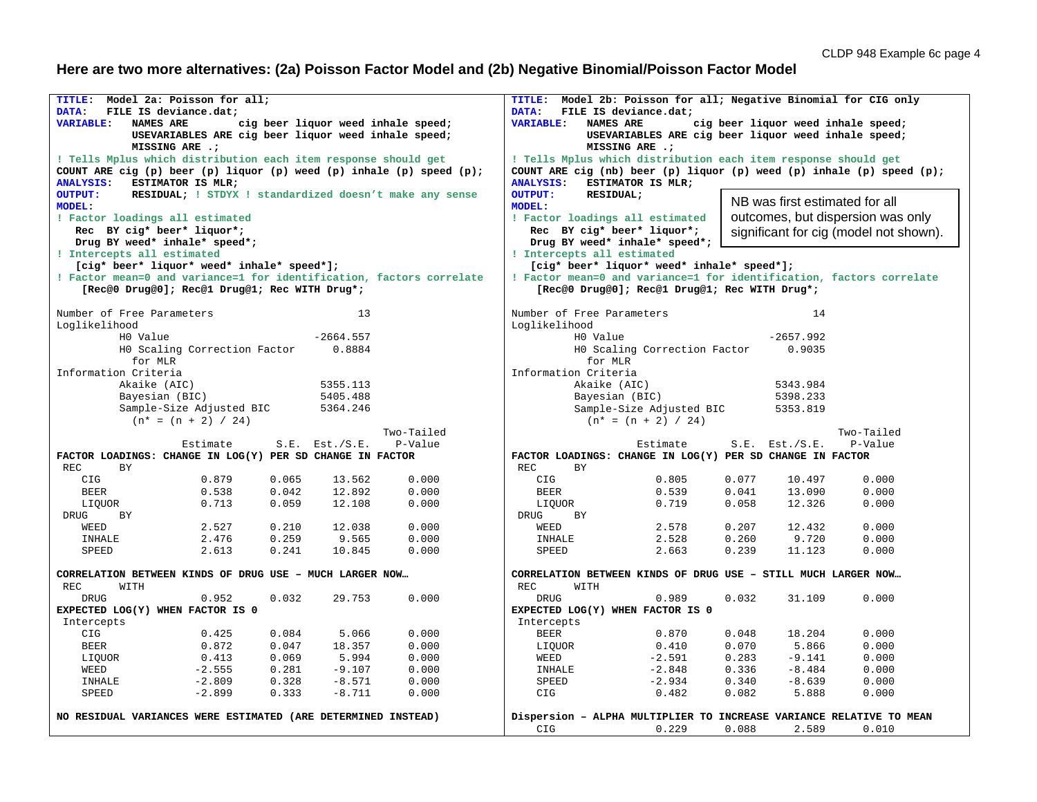## **Here are two more alternatives: (2a) Poisson Factor Model and (2b) Negative Binomial/Poisson Factor Model**

| TITLE:                                                                        | Model 2a: Poisson for all;                          |       |                     |                                                         | TITLE:                                                                                      |                                                                     |       |                     |                                                                       |
|-------------------------------------------------------------------------------|-----------------------------------------------------|-------|---------------------|---------------------------------------------------------|---------------------------------------------------------------------------------------------|---------------------------------------------------------------------|-------|---------------------|-----------------------------------------------------------------------|
| DATA:                                                                         | FILE IS deviance.dat;                               |       |                     |                                                         | Model 2b: Poisson for all; Negative Binomial for CIG only<br>FILE IS deviance.dat;<br>DATA: |                                                                     |       |                     |                                                                       |
| <b>VARIABLE:</b><br>NAMES ARE                                                 |                                                     |       |                     | cig beer liquor weed inhale speed;                      | <b>VARIABLE:</b><br>NAMES ARE<br>cig beer liquor weed inhale speed;                         |                                                                     |       |                     |                                                                       |
|                                                                               | USEVARIABLES ARE cig beer liquor weed inhale speed; |       |                     |                                                         |                                                                                             | USEVARIABLES ARE cig beer liquor weed inhale speed;                 |       |                     |                                                                       |
|                                                                               | MISSING ARE .;                                      |       |                     |                                                         | MISSING ARE .;                                                                              |                                                                     |       |                     |                                                                       |
| ! Tells Mplus which distribution each item response should get                |                                                     |       |                     |                                                         |                                                                                             | ! Tells Mplus which distribution each item response should get      |       |                     |                                                                       |
| COUNT ARE cig (p) beer (p) liquor (p) weed (p) inhale (p) speed (p);          |                                                     |       |                     |                                                         |                                                                                             |                                                                     |       |                     | COUNT ARE cig (nb) beer (p) liquor (p) weed (p) inhale (p) speed (p); |
| <b>ANALYSIS:</b>                                                              | ESTIMATOR IS MLR;                                   |       |                     |                                                         | <b>ANALYSIS:</b>                                                                            | ESTIMATOR IS MLR;                                                   |       |                     |                                                                       |
| <b>OUTPUT:</b>                                                                |                                                     |       |                     | RESIDUAL; ! STDYX ! standardized doesn't make any sense | <b>OUTPUT:</b>                                                                              | <b>RESIDUAL;</b>                                                    |       |                     |                                                                       |
| <b>MODEL:</b>                                                                 |                                                     |       |                     |                                                         | NB was first estimated for all<br><b>MODEL:</b>                                             |                                                                     |       |                     |                                                                       |
| ! Factor loadings all estimated                                               |                                                     |       |                     |                                                         | ! Factor loadings all estimated                                                             |                                                                     |       |                     | outcomes, but dispersion was only                                     |
| Rec BY cig* beer* liquor*;                                                    |                                                     |       |                     |                                                         |                                                                                             | Rec BY cig* beer* liquor*;                                          |       |                     | significant for cig (model not shown).                                |
| Drug BY weed* inhale* speed*;                                                 |                                                     |       |                     |                                                         |                                                                                             | Drug BY weed* inhale* speed*;                                       |       |                     |                                                                       |
| ! Intercepts all estimated                                                    |                                                     |       |                     |                                                         | ! Intercepts all estimated                                                                  |                                                                     |       |                     |                                                                       |
| [cig* beer* liquor* weed* inhale* speed*];                                    |                                                     |       |                     |                                                         |                                                                                             | [cig* beer* liquor* weed* inhale* speed*];                          |       |                     |                                                                       |
| ! Factor mean=0 and variance=1 for identification, factors correlate          |                                                     |       |                     |                                                         |                                                                                             |                                                                     |       |                     | ! Factor mean=0 and variance=1 for identification, factors correlate  |
|                                                                               | [Rec@0 Drug@0]; Rec@1 Drug@1; Rec WITH Drug*;       |       |                     |                                                         |                                                                                             | [Rec@0 Drug@0]; Rec@1 Drug@1; Rec WITH Drug*;                       |       |                     |                                                                       |
| Number of Free Parameters                                                     |                                                     |       | 13                  |                                                         | Number of Free Parameters                                                                   |                                                                     |       | 14                  |                                                                       |
| Loglikelihood                                                                 |                                                     |       |                     |                                                         | Loglikelihood                                                                               |                                                                     |       |                     |                                                                       |
| H0 Value                                                                      |                                                     |       | $-2664.557$         |                                                         | H0 Value                                                                                    |                                                                     |       | $-2657.992$         |                                                                       |
|                                                                               | H0 Scaling Correction Factor                        |       | 0.8884              |                                                         |                                                                                             | H0 Scaling Correction Factor                                        |       | 0.9035              |                                                                       |
| for MLR                                                                       |                                                     |       |                     |                                                         | for MLR                                                                                     |                                                                     |       |                     |                                                                       |
| Information Criteria                                                          |                                                     |       |                     |                                                         | Information Criteria                                                                        |                                                                     |       |                     |                                                                       |
| Akaike (AIC)                                                                  |                                                     |       | 5355.113            |                                                         |                                                                                             | Akaike (AIC)                                                        |       | 5343.984            |                                                                       |
| Bayesian (BIC)                                                                |                                                     |       | 5405.488            |                                                         |                                                                                             | Bayesian (BIC)                                                      |       | 5398.233            |                                                                       |
|                                                                               | Sample-Size Adjusted BIC                            |       | 5364.246            |                                                         | Sample-Size Adjusted BIC<br>5353.819                                                        |                                                                     |       |                     |                                                                       |
|                                                                               | $(n* = (n + 2) / 24)$                               |       |                     |                                                         |                                                                                             | $(n* = (n + 2) / 24)$                                               |       |                     |                                                                       |
|                                                                               |                                                     |       |                     | Two-Tailed                                              |                                                                                             |                                                                     |       |                     | Two-Tailed                                                            |
|                                                                               | Estimate                                            |       | $S.E.$ Est./ $S.E.$ | P-Value                                                 |                                                                                             | Estimate                                                            |       | $S.E.$ Est./ $S.E.$ | P-Value                                                               |
| FACTOR LOADINGS: CHANGE IN LOG(Y) PER SD CHANGE IN FACTOR<br><b>REC</b><br>BY |                                                     |       |                     |                                                         | <b>REC</b><br>BY                                                                            | FACTOR LOADINGS: CHANGE IN LOG(Y) PER SD CHANGE IN FACTOR           |       |                     |                                                                       |
| CIG                                                                           | 0.879                                               | 0.065 | 13.562              | 0.000                                                   | CIG                                                                                         | 0.805                                                               | 0.077 | 10.497              | 0.000                                                                 |
| <b>BEER</b>                                                                   | 0.538                                               | 0.042 | 12.892              | 0.000                                                   | <b>BEER</b>                                                                                 | 0.539                                                               | 0.041 | 13.090              | 0.000                                                                 |
| LIQUOR                                                                        | 0.713                                               | 0.059 | 12.108              | 0.000                                                   | LIQUOR                                                                                      | 0.719                                                               | 0.058 | 12.326              | 0.000                                                                 |
| DRUG<br>BY                                                                    |                                                     |       |                     |                                                         | <b>DRUG</b><br>ΒY                                                                           |                                                                     |       |                     |                                                                       |
| WEED                                                                          | 2.527                                               | 0.210 | 12.038              | 0.000                                                   | WEED                                                                                        | 2.578                                                               | 0.207 | 12.432              | 0.000                                                                 |
| INHALE                                                                        | 2.476                                               | 0.259 | 9.565               | 0.000                                                   | INHALE                                                                                      | 2.528                                                               | 0.260 | 9.720               | 0.000                                                                 |
| SPEED                                                                         | 2.613                                               | 0.241 | 10.845              | 0.000                                                   | SPEED                                                                                       | 2.663                                                               | 0.239 | 11.123              | 0.000                                                                 |
| CORRELATION BETWEEN KINDS OF DRUG USE - MUCH LARGER NOW                       |                                                     |       |                     |                                                         |                                                                                             | CORRELATION BETWEEN KINDS OF DRUG USE - STILL MUCH LARGER NOW       |       |                     |                                                                       |
| <b>REC</b><br>WITH                                                            |                                                     |       |                     |                                                         | <b>REC</b><br>WITH                                                                          |                                                                     |       |                     |                                                                       |
| <b>DRUG</b>                                                                   | 0.952                                               | 0.032 | 29.753              | 0.000                                                   | <b>DRUG</b>                                                                                 | 0.989                                                               | 0.032 | 31.109              | 0.000                                                                 |
| EXPECTED LOG(Y) WHEN FACTOR IS 0                                              |                                                     |       |                     |                                                         |                                                                                             | EXPECTED LOG(Y) WHEN FACTOR IS 0                                    |       |                     |                                                                       |
| Intercepts                                                                    |                                                     |       |                     |                                                         | Intercepts                                                                                  |                                                                     |       |                     |                                                                       |
| CIG                                                                           | 0.425                                               | 0.084 | 5.066               | 0.000                                                   | <b>BEER</b>                                                                                 | 0.870                                                               | 0.048 | 18.204              | 0.000                                                                 |
| <b>BEER</b>                                                                   | 0.872                                               | 0.047 | 18.357              | 0.000                                                   | LIQUOR                                                                                      | 0.410                                                               | 0.070 | 5.866               | 0.000                                                                 |
| LIQUOR                                                                        | 0.413                                               | 0.069 | 5.994               | 0.000                                                   | WEED                                                                                        | $-2.591$                                                            | 0.283 | $-9.141$            | 0.000                                                                 |
| WEED                                                                          | $-2.555$                                            | 0.281 | $-9.107$            | 0.000                                                   | INHALE                                                                                      | $-2.848$                                                            | 0.336 | $-8.484$            | 0.000                                                                 |
| INHALE                                                                        | $-2.809$                                            | 0.328 | $-8.571$            | 0.000                                                   | SPEED                                                                                       | $-2.934$                                                            | 0.340 | $-8.639$            | 0.000                                                                 |
| SPEED                                                                         | $-2.899$                                            | 0.333 | $-8.711$            | 0.000                                                   | CIG                                                                                         | 0.482                                                               | 0.082 | 5.888               | 0.000                                                                 |
| NO RESIDUAL VARIANCES WERE ESTIMATED (ARE DETERMINED INSTEAD)                 |                                                     |       |                     |                                                         |                                                                                             | Dispersion - ALPHA MULTIPLIER TO INCREASE VARIANCE RELATIVE TO MEAN |       |                     |                                                                       |
|                                                                               |                                                     |       |                     |                                                         | CIG                                                                                         | 0.229                                                               | 0.088 | 2.589               | 0.010                                                                 |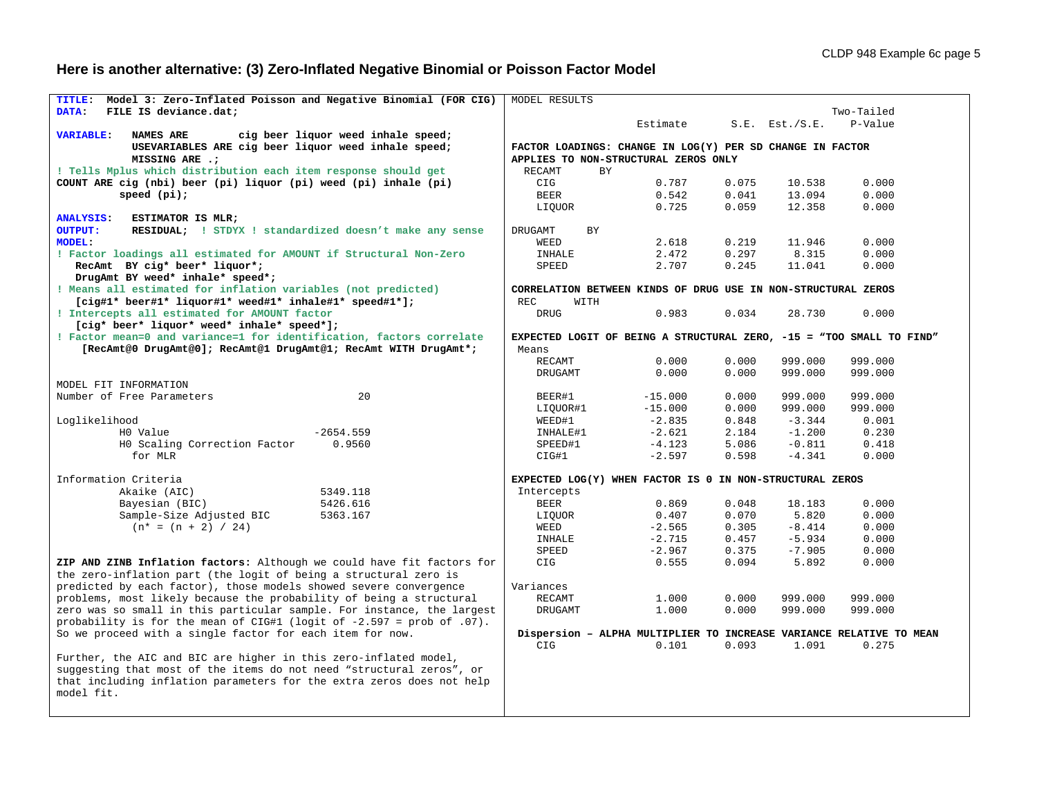## **Here is another alternative: (3) Zero-Inflated Negative Binomial or Poisson Factor Model**

| TITLE: Model 3: Zero-Inflated Poisson and Negative Binomial (FOR CIG)     | MODEL RESULTS                                             |                                                               |       |                     |                                                                      |
|---------------------------------------------------------------------------|-----------------------------------------------------------|---------------------------------------------------------------|-------|---------------------|----------------------------------------------------------------------|
| DATA:<br>FILE IS deviance.dat:                                            |                                                           |                                                               |       |                     | Two-Tailed                                                           |
|                                                                           |                                                           | Estimate                                                      |       | $S.E.$ Est./ $S.E.$ | P-Value                                                              |
| <b>VARIABLE:</b><br>NAMES ARE<br>cig beer liquor weed inhale speed;       |                                                           |                                                               |       |                     |                                                                      |
| USEVARIABLES ARE cig beer liquor weed inhale speed;                       | FACTOR LOADINGS: CHANGE IN LOG(Y) PER SD CHANGE IN FACTOR |                                                               |       |                     |                                                                      |
| MISSING ARE .:                                                            |                                                           | APPLIES TO NON-STRUCTURAL ZEROS ONLY                          |       |                     |                                                                      |
| ! Tells Mplus which distribution each item response should get            | RECAMT<br>ВY                                              |                                                               |       |                     |                                                                      |
| COUNT ARE cig (nbi) beer (pi) liquor (pi) weed (pi) inhale (pi)           | CIG                                                       | 0.787                                                         | 0.075 | 10.538              | 0.000                                                                |
| speed (pi);                                                               | <b>BEER</b>                                               | 0.542                                                         | 0.041 | 13.094              | 0.000                                                                |
|                                                                           | LIQUOR                                                    | 0.725                                                         | 0.059 | 12.358              | 0.000                                                                |
| <b>ANALYSIS:</b><br>ESTIMATOR IS MLR;                                     |                                                           |                                                               |       |                     |                                                                      |
| <b>OUTPUT:</b><br>RESIDUAL; ! STDYX ! standardized doesn't make any sense | DRUGAMT<br>BY                                             |                                                               |       |                     |                                                                      |
| <b>MODEL:</b>                                                             | WEED                                                      | 2.618                                                         | 0.219 | 11.946              | 0.000                                                                |
| ! Factor loadings all estimated for AMOUNT if Structural Non-Zero         | INHALE                                                    | 2.472                                                         | 0.297 | 8.315               | 0.000                                                                |
| RecAmt BY cig* beer* liquor*;                                             | SPEED                                                     | 2.707                                                         | 0.245 | 11.041              | 0.000                                                                |
| DrugAmt BY weed* inhale* speed*;                                          |                                                           |                                                               |       |                     |                                                                      |
| ! Means all estimated for inflation variables (not predicted)             |                                                           | CORRELATION BETWEEN KINDS OF DRUG USE IN NON-STRUCTURAL ZEROS |       |                     |                                                                      |
| [cig#1* beer#1* liquor#1* weed#1* inhale#1* speed#1*];                    | REC<br>WITH                                               |                                                               |       |                     |                                                                      |
| ! Intercepts all estimated for AMOUNT factor                              | <b>DRUG</b>                                               | 0.983                                                         | 0.034 | 28.730              | 0.000                                                                |
| [cig* beer* liquor* weed* inhale* speed*];                                |                                                           |                                                               |       |                     |                                                                      |
| ! Factor mean=0 and variance=1 for identification, factors correlate      |                                                           |                                                               |       |                     | EXPECTED LOGIT OF BEING A STRUCTURAL ZERO, -15 = "TOO SMALL TO FIND" |
| [RecAmt@0 DrugAmt@0]; RecAmt@1 DrugAmt@1; RecAmt WITH DrugAmt*;           | Means                                                     |                                                               |       |                     |                                                                      |
|                                                                           | RECAMT                                                    | 0.000                                                         | 0.000 | 999.000             | 999.000                                                              |
|                                                                           | DRUGAMT                                                   | 0.000                                                         | 0.000 | 999.000             | 999.000                                                              |
| MODEL FIT INFORMATION                                                     |                                                           |                                                               |       |                     |                                                                      |
| Number of Free Parameters<br>20                                           | BEER#1                                                    | $-15.000$                                                     | 0.000 | 999.000             | 999.000                                                              |
|                                                                           | LIQUOR#1                                                  | $-15.000$                                                     | 0.000 | 999.000             | 999.000                                                              |
| Loglikelihood                                                             | WEED#1                                                    | $-2.835$                                                      | 0.848 | $-3.344$            | 0.001                                                                |
| H0 Value<br>$-2654.559$                                                   | INHALE#1                                                  | $-2.621$                                                      | 2.184 | $-1.200$            | 0.230                                                                |
| HO Scaling Correction Factor<br>0.9560                                    | SPEED#1                                                   | $-4.123$                                                      | 5.086 | $-0.811$            | 0.418                                                                |
| for MLR                                                                   | CIG#1                                                     | $-2.597$                                                      | 0.598 | $-4.341$            | 0.000                                                                |
|                                                                           |                                                           |                                                               |       |                     |                                                                      |
| Information Criteria                                                      |                                                           | EXPECTED LOG(Y) WHEN FACTOR IS 0 IN NON-STRUCTURAL ZEROS      |       |                     |                                                                      |
| Akaike (AIC)<br>5349.118                                                  | Intercepts                                                |                                                               |       |                     |                                                                      |
| Bayesian (BIC)<br>5426.616                                                | <b>BEER</b>                                               | 0.869                                                         | 0.048 | 18.183              | 0.000                                                                |
| Sample-Size Adjusted BIC<br>5363.167                                      | LIOUOR                                                    | 0.407                                                         | 0.070 | 5.820               | 0.000                                                                |
| $(n* = (n + 2) / 24)$                                                     | WEED                                                      | $-2.565$                                                      | 0.305 | $-8.414$            | 0.000                                                                |
|                                                                           | INHALE                                                    | $-2.715$                                                      | 0.457 | $-5.934$            | 0.000                                                                |
|                                                                           | SPEED                                                     | $-2.967$                                                      | 0.375 | $-7.905$            | 0.000                                                                |
| ZIP AND ZINB Inflation factors: Although we could have fit factors for    | CIG                                                       | 0.555                                                         | 0.094 | 5.892               | 0.000                                                                |
| the zero-inflation part (the logit of being a structural zero is          |                                                           |                                                               |       |                     |                                                                      |
| predicted by each factor), those models showed severe convergence         | Variances                                                 |                                                               |       |                     |                                                                      |
| problems, most likely because the probability of being a structural       | <b>RECAMT</b>                                             | 1.000                                                         | 0.000 | 999.000             | 999.000                                                              |
| zero was so small in this particular sample. For instance, the largest    | DRUGAMT                                                   | 1.000                                                         | 0.000 | 999.000             | 999.000                                                              |
| probability is for the mean of CIG#1 (logit of $-2.597$ = prob of .07).   |                                                           |                                                               |       |                     |                                                                      |
| So we proceed with a single factor for each item for now.                 |                                                           |                                                               |       |                     | Dispersion - ALPHA MULTIPLIER TO INCREASE VARIANCE RELATIVE TO MEAN  |
|                                                                           | CIG.                                                      | 0.101                                                         | 0.093 | 1.091               | 0.275                                                                |
| Further, the AIC and BIC are higher in this zero-inflated model,          |                                                           |                                                               |       |                     |                                                                      |
| suggesting that most of the items do not need "structural zeros", or      |                                                           |                                                               |       |                     |                                                                      |
| that including inflation parameters for the extra zeros does not help     |                                                           |                                                               |       |                     |                                                                      |
| model fit.                                                                |                                                           |                                                               |       |                     |                                                                      |
|                                                                           |                                                           |                                                               |       |                     |                                                                      |
|                                                                           |                                                           |                                                               |       |                     |                                                                      |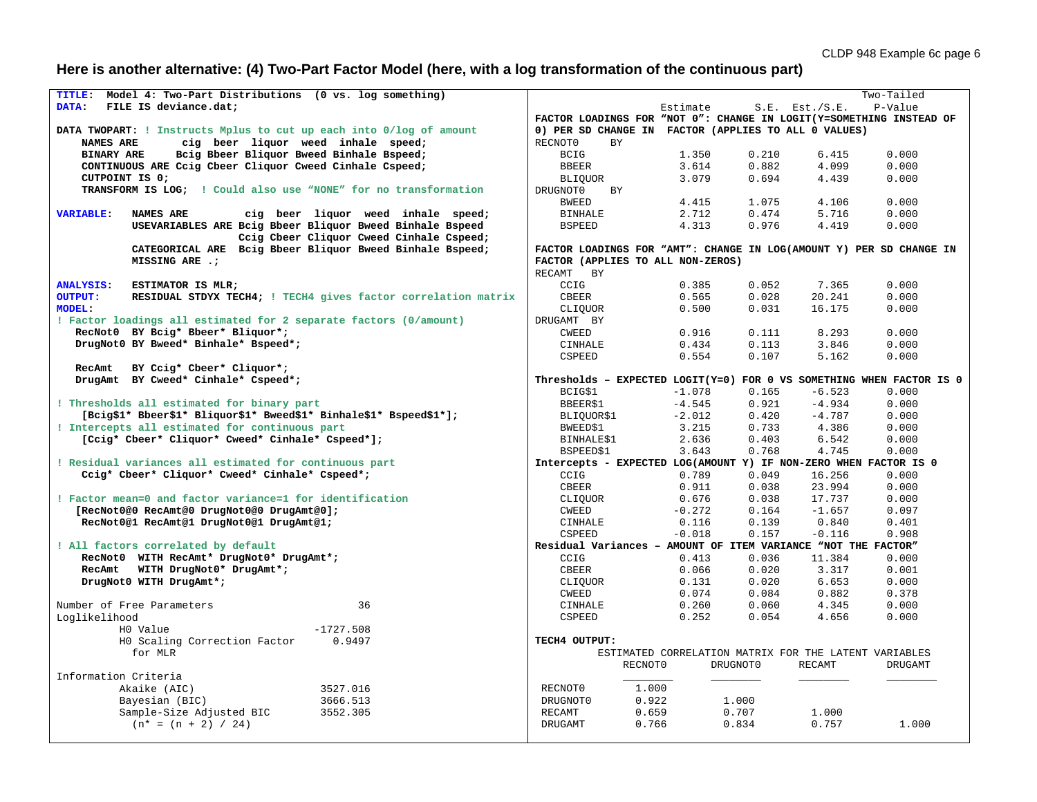## **Here is another alternative: (4) Two-Part Factor Model (here, with a log transformation of the continuous part)**

| TITLE: Model 4: Two-Part Distributions (0 vs. log something)                    |                                                                      | Two-Tailed        |
|---------------------------------------------------------------------------------|----------------------------------------------------------------------|-------------------|
| DATA:<br>FILE IS deviance.dat;                                                  | Estimate<br>$S.E.$ Est./ $S.E.$                                      | P-Value           |
|                                                                                 | FACTOR LOADINGS FOR "NOT 0": CHANGE IN LOGIT(Y=SOMETHING INSTEAD OF  |                   |
| DATA TWOPART: ! Instructs Mplus to cut up each into 0/log of amount             | 0) PER SD CHANGE IN FACTOR (APPLIES TO ALL 0 VALUES)                 |                   |
| cig beer liquor weed inhale speed;<br>NAMES ARE                                 | RECNOT0<br>BY                                                        |                   |
| Boig Bbeer Bliquor Bweed Binhale Bspeed;<br><b>BINARY ARE</b>                   | 0.210<br><b>BCIG</b><br>1.350                                        | 0.000<br>6.415    |
| CONTINUOUS ARE Cciq Cbeer Cliquor Cweed Cinhale Cspeed;                         | 0.882<br><b>BBEER</b><br>3.614                                       | 4.099<br>0.000    |
| CUTPOINT IS 0;                                                                  | 3.079<br>0.694<br><b>BLIQUOR</b>                                     | 4.439<br>0.000    |
| TRANSFORM IS LOG; ! Could also use "NONE" for no transformation                 | DRUGNOT0<br>BY                                                       |                   |
|                                                                                 | <b>BWEED</b><br>1.075<br>4.415                                       | 0.000<br>4.106    |
| <b>VARIABLE:</b><br>NAMES ARE<br>cig beer liquor weed inhale speed;             | 2.712<br>0.474<br><b>BINHALE</b>                                     | 5.716<br>0.000    |
| USEVARIABLES ARE Bcig Bbeer Bliquor Bweed Binhale Bspeed                        | 4.313<br>0.976<br><b>BSPEED</b>                                      | 4.419<br>0.000    |
| Ccig Cbeer Cliquor Cweed Cinhale Cspeed;                                        |                                                                      |                   |
|                                                                                 | FACTOR LOADINGS FOR "AMT": CHANGE IN LOG(AMOUNT Y) PER SD CHANGE IN  |                   |
| CATEGORICAL ARE Bcig Bbeer Bliquor Bweed Binhale Bspeed;                        |                                                                      |                   |
| MISSING ARE .;                                                                  | FACTOR (APPLIES TO ALL NON-ZEROS)                                    |                   |
|                                                                                 | RECAMT BY                                                            |                   |
| <b>ANALYSIS:</b><br>ESTIMATOR IS MLR;                                           | 0.385<br>CCIG<br>0.052                                               | 0.000<br>7.365    |
| <b>OUTPUT:</b><br>RESIDUAL STDYX TECH4; ! TECH4 gives factor correlation matrix | 0.028<br><b>CBEER</b><br>0.565                                       | 0.000<br>20.241   |
| <b>MODEL:</b>                                                                   | 0.500<br>0.031<br>CLIOUOR                                            | 16.175<br>0.000   |
| ! Factor loadings all estimated for 2 separate factors (0/amount)               | DRUGAMT BY                                                           |                   |
| RecNot0 BY Bcig* Bbeer* Bliquor*;                                               | <b>CWEED</b><br>0.916<br>0.111                                       | 8.293<br>0.000    |
| DrugNot0 BY Bweed* Binhale* Bspeed*;                                            | 0.434<br>0.113<br>CINHALE                                            | 3.846<br>0.000    |
|                                                                                 | 0.554<br>0.107<br>CSPEED                                             | 5.162<br>0.000    |
| BY Ccig* Cbeer* Cliquor*;<br>RecAmt                                             |                                                                      |                   |
| DrugAmt BY Cweed* Cinhale* Cspeed*;                                             | Thresholds - EXPECTED LOGIT(Y=0) FOR 0 VS SOMETHING WHEN FACTOR IS 0 |                   |
|                                                                                 | BCIGS1<br>$-1.078$<br>0.165                                          | 0.000<br>$-6.523$ |
| ! Thresholds all estimated for binary part                                      | BBEER\$1<br>$-4.545$<br>0.921                                        | $-4.934$<br>0.000 |
| [Bcig\$1* Bbeer\$1* Bliquor\$1* Bweed\$1* Binhale\$1* Bspeed\$1*];              | $-2.012$<br>0.420<br>BLIOUOR\$1                                      | 0.000<br>$-4.787$ |
| ! Intercepts all estimated for continuous part                                  | BWEED\$1<br>3.215<br>0.733                                           | 0.000<br>4.386    |
| [Ccig* Cbeer* Cliquor* Cweed* Cinhale* Cspeed*];                                | 0.403<br>BINHALE\$1<br>2.636                                         | 6.542<br>0.000    |
|                                                                                 | BSPEED\$1<br>3.643<br>0.768                                          | 4.745<br>0.000    |
| ! Residual variances all estimated for continuous part                          | Intercepts - EXPECTED LOG(AMOUNT Y) IF NON-ZERO WHEN FACTOR IS 0     |                   |
| Ccig* Cbeer* Cliquor* Cweed* Cinhale* Cspeed*;                                  | CCIG<br>0.789<br>0.049                                               | 0.000<br>16.256   |
|                                                                                 | <b>CBEER</b><br>0.911<br>0.038                                       | 0.000<br>23.994   |
| ! Factor mean=0 and factor variance=1 for identification                        | 0.676<br>0.038<br>CLIQUOR                                            | 17.737<br>0.000   |
| [RecNot0@0 RecAmt@0 DrugNot0@0 DrugAmt@0];                                      | <b>CWEED</b><br>$-0.272$<br>0.164                                    | $-1.657$<br>0.097 |
| RecNot0@1 RecAmt@1 DrugNot0@1 DrugAmt@1;                                        | 0.139<br>0.116<br>CINHALE                                            | 0.840<br>0.401    |
|                                                                                 | <b>CSPEED</b><br>$-0.018$<br>0.157                                   | $-0.116$<br>0.908 |
| ! All factors correlated by default                                             | Residual Variances - AMOUNT OF ITEM VARIANCE "NOT THE FACTOR"        |                   |
| RecNot0 WITH RecAmt* DrugNot0* DrugAmt*;                                        | CCIG<br>0.413<br>0.036                                               | 11.384<br>0.000   |
| RecAmt WITH DrugNot0* DrugAmt*;                                                 | <b>CBEER</b><br>0.066<br>0.020                                       | 3.317<br>0.001    |
| DrugNot0 WITH DrugAmt*;                                                         | 0.131<br>0.020<br>CLIOUOR                                            | 6.653<br>0.000    |
|                                                                                 | 0.084<br>CWEED<br>0.074                                              | 0.882<br>0.378    |
| 36                                                                              | 0.060<br>CINHALE<br>0.260                                            | 4.345<br>0.000    |
| Number of Free Parameters                                                       |                                                                      |                   |
| Loglikelihood                                                                   | CSPEED<br>0.252<br>0.054                                             | 4.656<br>0.000    |
| HO Value<br>$-1727.508$                                                         |                                                                      |                   |
| HO Scaling Correction Factor<br>0.9497                                          | TECH4 OUTPUT:                                                        |                   |
| for MLR                                                                         | ESTIMATED CORRELATION MATRIX FOR THE LATENT VARIABLES                |                   |
|                                                                                 | RECNOT0<br>DRUGNOT0                                                  | RECAMT<br>DRUGAMT |
| Information Criteria                                                            |                                                                      |                   |
| Akaike (AIC)<br>3527.016                                                        | RECNOT0<br>1.000                                                     |                   |
| Bayesian (BIC)<br>3666.513                                                      | 0.922<br>DRUGNOT0<br>1.000                                           |                   |
| Sample-Size Adjusted BIC<br>3552.305                                            | 0.707<br><b>RECAMT</b><br>0.659                                      | 1,000             |
| $(n^* = (n + 2) / 24)$                                                          | 0.766<br>0.834<br>DRUGAMT                                            | 0.757<br>1.000    |
|                                                                                 |                                                                      |                   |